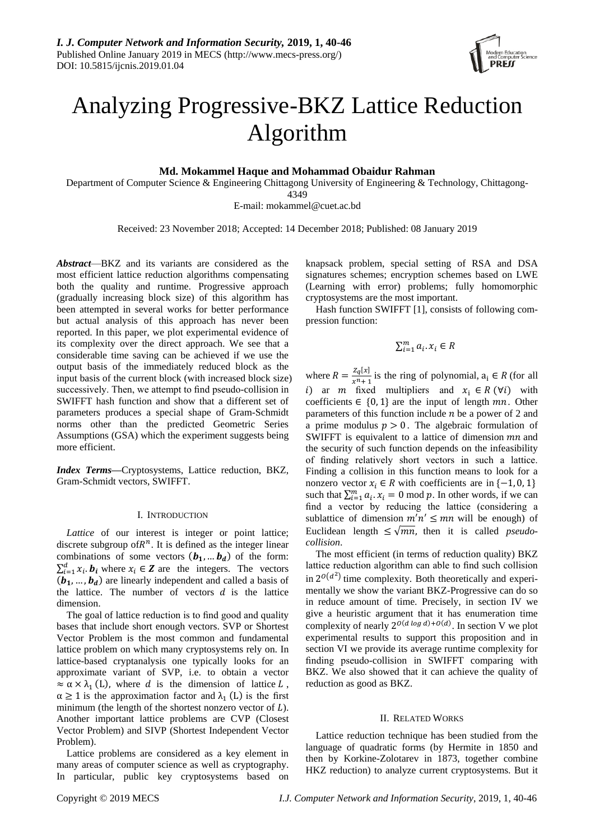

# Analyzing Progressive-BKZ Lattice Reduction Algorithm

**Md. Mokammel Haque and Mohammad Obaidur Rahman**

Department of Computer Science & Engineering Chittagong University of Engineering & Technology, Chittagong-4349

E-mail: mokammel@cuet.ac.bd

Received: 23 November 2018; Accepted: 14 December 2018; Published: 08 January 2019

*Abstract*—BKZ and its variants are considered as the most efficient lattice reduction algorithms compensating both the quality and runtime. Progressive approach (gradually increasing block size) of this algorithm has been attempted in several works for better performance but actual analysis of this approach has never been reported. In this paper, we plot experimental evidence of its complexity over the direct approach. We see that a considerable time saving can be achieved if we use the output basis of the immediately reduced block as the input basis of the current block (with increased block size) successively. Then, we attempt to find pseudo-collision in SWIFFT hash function and show that a different set of parameters produces a special shape of Gram-Schmidt norms other than the predicted Geometric Series Assumptions (GSA) which the experiment suggests being more efficient.

*Index Terms***—**Cryptosystems, Lattice reduction, BKZ, Gram-Schmidt vectors, SWIFFT.

## I. INTRODUCTION

*Lattice* of our interest is integer or point lattice; discrete subgroup of  $R^n$ . It is defined as the integer linear combinations of some vectors  $(b_1, ... b_d)$  of the form:  $\sum_{i=1}^{d} x_i \cdot \mathbf{b}_i$  where  $x_i \in \mathbf{Z}$  are the integers. The vectors  $(b_1, ..., b_d)$  are linearly independent and called a basis of the lattice. The number of vectors  $d$  is the lattice dimension.

The goal of lattice reduction is to find good and quality bases that include short enough vectors. SVP or Shortest Vector Problem is the most common and fundamental lattice problem on which many cryptosystems rely on. In lattice-based cryptanalysis one typically looks for an approximate variant of SVP, i.e. to obtain a vector  $\approx \alpha \times \lambda_1$  (L), where d is the dimension of lattice L,  $\alpha \geq 1$  is the approximation factor and  $\lambda_1$  (L) is the first minimum (the length of the shortest nonzero vector of  $L$ ). Another important lattice problems are CVP (Closest Vector Problem) and SIVP (Shortest Independent Vector Problem).

Lattice problems are considered as a key element in many areas of computer science as well as cryptography. In particular, public key cryptosystems based on knapsack problem, special setting of RSA and DSA signatures schemes; encryption schemes based on LWE (Learning with error) problems; fully homomorphic cryptosystems are the most important.

Hash function SWIFFT [1], consists of following compression function:

 $\sum_{i=1}^m a_i \cdot x_i \in R$ 

where  $R = \frac{Z_q[x]}{Z_q[x]}$  $\frac{zq(x)}{x^{n}+1}$  is the ring of polynomial,  $a_i \in R$  (for all i) ar  $m \text{ fixed}$  multipliers and  $x_i \in R(\forall i)$  with coefficients  $\in \{0, 1\}$  are the input of length mn. Other parameters of this function include  $n$  be a power of 2 and a prime modulus  $p > 0$ . The algebraic formulation of SWIFFT is equivalent to a lattice of dimension  $mn$  and the security of such function depends on the infeasibility of finding relatively short vectors in such a lattice. Finding a collision in this function means to look for a nonzero vector  $x_i \in R$  with coefficients are in {-1, 0, 1} such that  $\sum_{i=1}^{m} a_i \cdot x_i = 0 \text{ mod } p$ . In other words, if we can find a vector by reducing the lattice (considering a sublattice of dimension  $m'n' \leq mn$  will be enough) of Euclidean length  $\leq \sqrt{mn}$ , then it is called *pseudocollision*.

The most efficient (in terms of reduction quality) BKZ lattice reduction algorithm can able to find such collision in  $2^{O(d^2)}$  time complexity. Both theoretically and experimentally we show the variant BKZ-Progressive can do so in reduce amount of time. Precisely, in section IV we give a heuristic argument that it has enumeration time complexity of nearly  $2^{O(d \log d) + O(d)}$ . In section V we plot experimental results to support this proposition and in section VI we provide its average runtime complexity for finding pseudo-collision in SWIFFT comparing with BKZ. We also showed that it can achieve the quality of reduction as good as BKZ.

#### II. RELATED WORKS

Lattice reduction technique has been studied from the language of quadratic forms (by Hermite in 1850 and then by Korkine-Zolotarev in 1873, together combine HKZ reduction) to analyze current cryptosystems. But it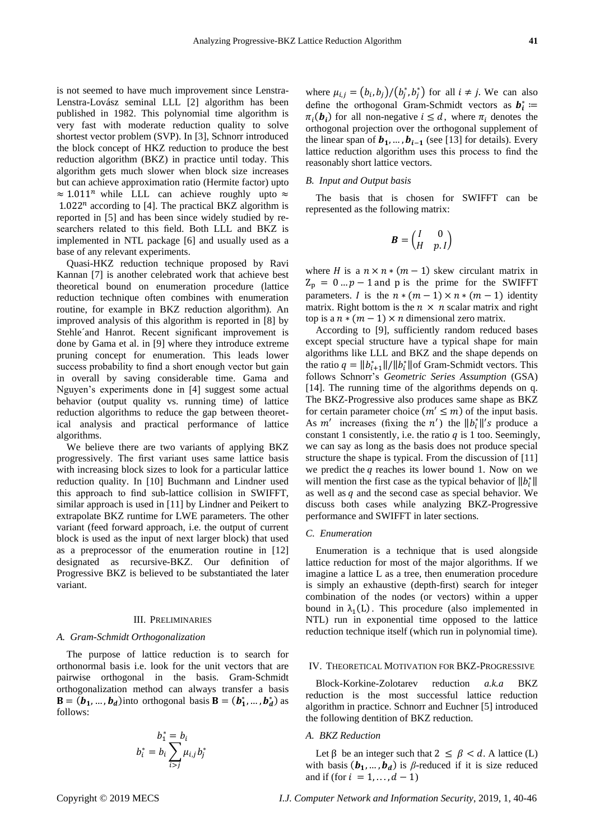is not seemed to have much improvement since Lenstra-Lenstra-Lovász seminal LLL [2] algorithm has been published in 1982. This polynomial time algorithm is very fast with moderate reduction quality to solve shortest vector problem (SVP). In [3], Schnorr introduced the block concept of HKZ reduction to produce the best reduction algorithm (BKZ) in practice until today. This algorithm gets much slower when block size increases but can achieve approximation ratio (Hermite factor) upto  $\approx 1.011^n$  while LLL can achieve roughly upto  $\approx$  $1.022<sup>n</sup>$  according to [4]. The practical BKZ algorithm is reported in [5] and has been since widely studied by researchers related to this field. Both LLL and BKZ is implemented in NTL package [6] and usually used as a base of any relevant experiments.

Quasi-HKZ reduction technique proposed by Ravi Kannan [7] is another celebrated work that achieve best theoretical bound on enumeration procedure (lattice reduction technique often combines with enumeration routine, for example in BKZ reduction algorithm). An improved analysis of this algorithm is reported in [8] by Stehle and Hanrot. Recent significant improvement is done by Gama et al. in [9] where they introduce extreme pruning concept for enumeration. This leads lower success probability to find a short enough vector but gain in overall by saving considerable time. Gama and Nguyen's experiments done in [4] suggest some actual behavior (output quality vs. running time) of lattice reduction algorithms to reduce the gap between theoretical analysis and practical performance of lattice algorithms.

We believe there are two variants of applying BKZ progressively. The first variant uses same lattice basis with increasing block sizes to look for a particular lattice reduction quality. In [10] Buchmann and Lindner used this approach to find sub-lattice collision in SWIFFT, similar approach is used in [11] by Lindner and Peikert to extrapolate BKZ runtime for LWE parameters. The other variant (feed forward approach, i.e. the output of current block is used as the input of next larger block) that used as a preprocessor of the enumeration routine in [12] designated as recursive-BKZ. Our definition of Progressive BKZ is believed to be substantiated the later variant.

#### III. PRELIMINARIES

#### *A. Gram-Schmidt Orthogonalization*

The purpose of lattice reduction is to search for orthonormal basis i.e. look for the unit vectors that are pairwise orthogonal in the basis. Gram-Schmidt orthogonalization method can always transfer a basis  $\mathbf{B} = (\mathbf{b}_1, ..., \mathbf{b}_d)$  into orthogonal basis  $\mathbf{B} = (\mathbf{b}_1^*, ..., \mathbf{b}_d^*)$  as follows:

$$
b_1^* = b_i
$$
  

$$
b_i^* = b_i \sum_{i>j} \mu_{i,j} b_j^*
$$

where  $\mu_{i,j} = (b_i, b_j) / (b_j^*, b_j^*)$  for all  $i \neq j$ . We can also define the orthogonal Gram-Schmidt vectors as  $b_i^*$  :=  $\pi_i(\mathbf{b}_i)$  for all non-negative  $i \leq d$ , where  $\pi_i$  denotes the orthogonal projection over the orthogonal supplement of the linear span of  $b_1$ , …,  $b_{i-1}$  (see [13] for details). Every lattice reduction algorithm uses this process to find the reasonably short lattice vectors.

#### *B. Input and Output basis*

The basis that is chosen for SWIFFT can be represented as the following matrix:

$$
\boldsymbol{B} = \begin{pmatrix} I & 0 \\ H & p.I \end{pmatrix}
$$

where *H* is a  $n \times n * (m - 1)$  skew circulant matrix in  $Z_p = 0 \dots p - 1$  and p is the prime for the SWIFFT parameters. *I* is the  $n * (m - 1) \times n * (m - 1)$  identity matrix. Right bottom is the  $n \times n$  scalar matrix and right top is a  $n * (m - 1) \times n$  dimensional zero matrix.

According to [9], sufficiently random reduced bases except special structure have a typical shape for main algorithms like LLL and BKZ and the shape depends on the ratio  $q = ||b_{i+1}^*||/||b_i^*||$  of Gram-Schmidt vectors. This follows Schnorr's *Geometric Series Assumption* (GSA) [14]. The running time of the algorithms depends on q. The BKZ-Progressive also produces same shape as BKZ for certain parameter choice  $(m' \leq m)$  of the input basis. As  $m'$  increases (fixing the  $n'$ ) the  $||b_i^*||$ 's produce a constant 1 consistently, i.e. the ratio  $q$  is 1 too. Seemingly, we can say as long as the basis does not produce special structure the shape is typical. From the discussion of [11] we predict the  $q$  reaches its lower bound 1. Now on we will mention the first case as the typical behavior of  $||b_i^*||$ as well as  $q$  and the second case as special behavior. We discuss both cases while analyzing BKZ-Progressive performance and SWIFFT in later sections.

#### *C. Enumeration*

Enumeration is a technique that is used alongside lattice reduction for most of the major algorithms. If we imagine a lattice L as a tree, then enumeration procedure is simply an exhaustive (depth-first) search for integer combination of the nodes (or vectors) within a upper bound in  $\lambda_1(L)$ . This procedure (also implemented in NTL) run in exponential time opposed to the lattice reduction technique itself (which run in polynomial time).

#### IV. THEORETICAL MOTIVATION FOR BKZ-PROGRESSIVE

Block-Korkine-Zolotarev reduction *a.k.a* BKZ reduction is the most successful lattice reduction algorithm in practice. Schnorr and Euchner [5] introduced the following dentition of BKZ reduction.

## *A. BKZ Reduction*

Let  $\beta$  be an integer such that  $2 \leq \beta < d$ . A lattice (L) with basis  $(b_1, ..., b_d)$  is *β*-reduced if it is size reduced and if (for  $i = 1, \ldots, d - 1$ )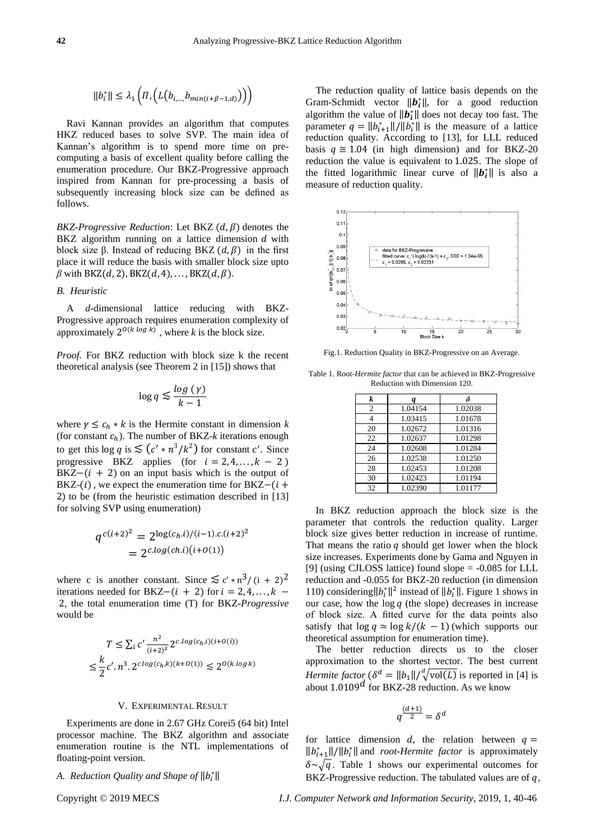$$
||b_i^*|| \leq \lambda_1 \left( \prod_{i} \left( L\left(b_{i,\dots,b_{min(i+\beta-1,d)}}\right) \right) \right)
$$

Ravi Kannan provides an algorithm that computes HKZ reduced bases to solve SVP. The main idea of Kannan's algorithm is to spend more time on precomputing a basis of excellent quality before calling the enumeration procedure. Our BKZ-Progressive approach inspired from Kannan for pre-processing a basis of subsequently increasing block size can be defined as follows.

*BKZ-Progressive Reduction*: Let BKZ  $(d, \beta)$  denotes the BKZ algorithm running on a lattice dimension  $d$  with block size β. Instead of reducing BKZ  $(d, \beta)$  in the first place it will reduce the basis with smaller block size upto  $\beta$  with BKZ(d, 2), BKZ(d, 4), ..., BKZ(d,  $\beta$ ).

## *B. Heuristic*

A *d-*dimensional lattice reducing with BKZ-Progressive approach requires enumeration complexity of approximately  $2^{O(k \log k)}$ , where *k* is the block size.

*Proof.* For BKZ reduction with block size k the recent theoretical analysis (see Theorem 2 in [15]) shows that

$$
\log q \lesssim \frac{\log\left(\gamma\right)}{k-1}
$$

where  $\gamma \leq c_h * k$  is the Hermite constant in dimension k (for constant  $c_h$ ). The number of BKZ- $k$  iterations enough to get this  $\log q$  is  $\leq (c' * n^3 / k^2)$  for constant c'. Since progressive BKZ applies (for  $i = 2, 4, ..., k - 2$ )  $BKZ-(i + 2)$  on an input basis which is the output of BKZ- $(i)$ , we expect the enumeration time for BKZ- $(i +$ 2) to be (from the heuristic estimation described in [13] for solving SVP using enumeration)

$$
q^{c(i+2)^2} = 2^{\log(c_h.i)/(i-1).c.(i+2)^2}
$$
  
= 2<sup>c.log(ch.i)(i+0(1))</sup>

where c is another constant. Since  $\lesssim c' * n^3/(1 + 2)^2$ iterations needed for BKZ– $(i + 2)$  for  $i = 2, 4, ..., k$  – 2, the total enumeration time (T) for BKZ*-Progressive*  would be

$$
T \le \sum_{i} c' \frac{n^2}{(i+2)^2} 2^{c \cdot \log(c_h, i)(i+O(i))}
$$
  

$$
\le \frac{k}{2} c' \cdot n^3 \cdot 2^{c \log(c_h, k)(k+O(1))} \le 2^{O(k \cdot \log k)}
$$

#### V. EXPERIMENTAL RESULT

Experiments are done in 2.67 GHz Corei5 (64 bit) Intel processor machine. The BKZ algorithm and associate enumeration routine is the NTL implementations of floating-point version.

# *A. Reduction Quality and Shape of*  $||b_i^*||$

The reduction quality of lattice basis depends on the Gram-Schmidt vector  $\|\boldsymbol{b}_i^*\|$ , for a good reduction algorithm the value of  $||b_i^*||$  does not decay too fast. The parameter  $q = ||b_{i+1}^*||/||b_i^*||$  is the measure of a lattice reduction quality. According to [13], for LLL reduced basis  $q \approx 1.04$  (in high dimension) and for BKZ-20 reduction the value is equivalent to 1.025. The slope of the fitted logarithmic linear curve of  $||b_i^*||$  is also a measure of reduction quality.



Fig.1. Reduction Quality in BKZ-Progressive on an Average.

Table 1. Root*-Hermite factor* that can be achieved in BKZ-Progressive Reduction with Dimension 120.

| k              |         | $\delta$ |
|----------------|---------|----------|
| $\overline{c}$ | 1.04154 | 1.02038  |
|                | 1.03415 | 1.01678  |
| 20             | 1.02672 | 1.01316  |
| 22             | 1.02637 | 1.01298  |
| 24             | 1.02608 | 1.01284  |
| 26             | 1.02538 | 1.01250  |
| 28             | 1.02453 | 1.01208  |
| 30             | 1.02423 | 1.01194  |
| 32             | 1.02390 | 1.01177  |

In BKZ reduction approach the block size is the parameter that controls the reduction quality. Larger block size gives better reduction in increase of runtime. That means the ratio  $q$  should get lower when the block size increases. Experiments done by Gama and Nguyen in [9] (using CJLOSS lattice) found slope = -0.085 for LLL reduction and -0.055 for BKZ-20 reduction (in dimension 110) considering  $||b_i^*||^2$  instead of  $||b_i^*||$ . Figure 1 shows in our case, how the  $log q$  (the slope) decreases in increase of block size. A fitted curve for the data points also satisfy that  $\log q \simeq \log k/(k - 1)$  (which supports our theoretical assumption for enumeration time).

The better reduction directs us to the closer approximation to the shortest vector. The best current *Hermite factor* ( $\delta^d = ||b_1|| / \sqrt[d]{\text{vol}(L)}$  is reported in [4] is about  $1.0109<sup>d</sup>$  for BKZ-28 reduction. As we know

$$
q^{\frac{(d+1)}{2}}=\delta^d
$$

for lattice dimension  $d$ , the relation between  $q =$  $||b_{i+1}^*||/||b_i^*||$  and *root-Hermite factor* is approximately  $\delta \sim \sqrt{q}$ . Table 1 shows our experimental outcomes for BKZ-Progressive reduction. The tabulated values are of  $q$ ,

Copyright © 2019 MECS *I.J. Computer Network and Information Security*, 2019, 1, 40-46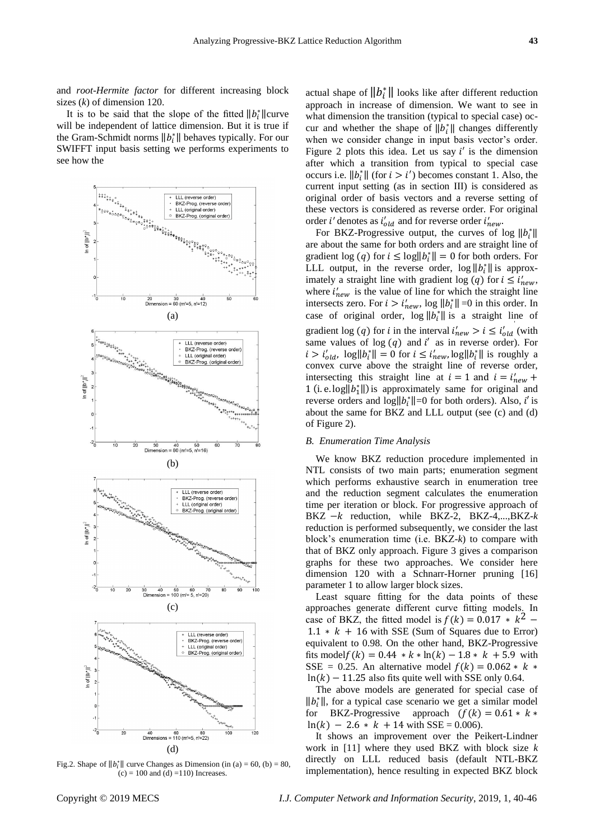and *root-Hermite factor* for different increasing block sizes (*k*) of dimension 120.

It is to be said that the slope of the fitted  $||b_i^*||$ curve will be independent of lattice dimension. But it is true if the Gram-Schmidt norms  $||b_i^*||$  behaves typically. For our SWIFFT input basis setting we performs experiments to see how the



Fig.2. Shape of  $||b_i^*||$  curve Changes as Dimension (in (a) = 60, (b) = 80,  $(c) = 100$  and  $(d) = 110$ ) Increases.

actual shape of  $||b_i^*||$  looks like after different reduction approach in increase of dimension. We want to see in what dimension the transition (typical to special case) occur and whether the shape of  $||b_i^*||$  changes differently when we consider change in input basis vector's order. Figure 2 plots this idea. Let us say  $i'$  is the dimension after which a transition from typical to special case occurs i.e.  $||b_i^*||$  (for  $i > i'$ ) becomes constant 1. Also, the current input setting (as in section III) is considered as original order of basis vectors and a reverse setting of these vectors is considered as reverse order. For original order *i*' denotes as  $i'_{old}$  and for reverse order  $i'_{new}$ .

For BKZ-Progressive output, the curves of log  $||b_i^*||$ are about the same for both orders and are straight line of gradient log (*q*) for  $i \leq \log ||b_i^*|| = 0$  for both orders. For LLL output, in the reverse order,  $\log ||b_i^*||$  is approximately a straight line with gradient log (q) for  $i \le i'_{new}$ , where  $i'_{new}$  is the value of line for which the straight line intersects zero. For  $i > i'_{new}$ , log  $||b_i^*|| = 0$  in this order. In case of original order,  $\log ||b_i^*||$  is a straight line of gradient log (q) for *i* in the interval  $i'_{new} > i \leq i'_{old}$  (with same values of  $log(q)$  and  $i'$  as in reverse order). For  $i > i'_{old}$ ,  $\log ||b_i^*|| = 0$  for  $i \leq i'_{new}$ ,  $\log ||b_i^*||$  is roughly a convex curve above the straight line of reverse order, intersecting this straight line at  $i = 1$  and  $i = i'_{new}$  + 1 (i. e.  $log||b_1^*||$ ) is approximately same for original and reverse orders and  $\log ||b_i^*|| = 0$  for both orders). Also, *i'* is about the same for BKZ and LLL output (see (c) and (d) of Figure 2).

#### *B. Enumeration Time Analysis*

We know BKZ reduction procedure implemented in NTL consists of two main parts; enumeration segment which performs exhaustive search in enumeration tree and the reduction segment calculates the enumeration time per iteration or block. For progressive approach of BKZ − *k* reduction, while BKZ-2, BKZ-4,...,BKZ-*k* reduction is performed subsequently, we consider the last block's enumeration time (i.e. BKZ-*k*) to compare with that of BKZ only approach. Figure 3 gives a comparison graphs for these two approaches. We consider here dimension 120 with a Schnarr-Horner pruning [16] parameter 1 to allow larger block sizes.

Least square fitting for the data points of these approaches generate different curve fitting models. In case of BKZ, the fitted model is  $f(k) = 0.017 * k^2$  –  $1.1 * k + 16$  with SSE (Sum of Squares due to Error) equivalent to 0.98. On the other hand, BKZ-Progressive fits model $f(k) = 0.44 * k * ln(k) - 1.8 * k + 5.9$  with SSE = 0.25. An alternative model  $f(k) = 0.062 * k *$  $ln(k) - 11.25$  also fits quite well with SSE only 0.64.

The above models are generated for special case of  $||b_i^*||$ , for a typical case scenario we get a similar model for BKZ-Progressive approach  $(f(k) = 0.61 * k *$  $ln(k) - 2.6 * k + 14$  with SSE = 0.006).

It shows an improvement over the Peikert-Lindner work in [11] where they used BKZ with block size *k* directly on LLL reduced basis (default NTL-BKZ implementation), hence resulting in expected BKZ block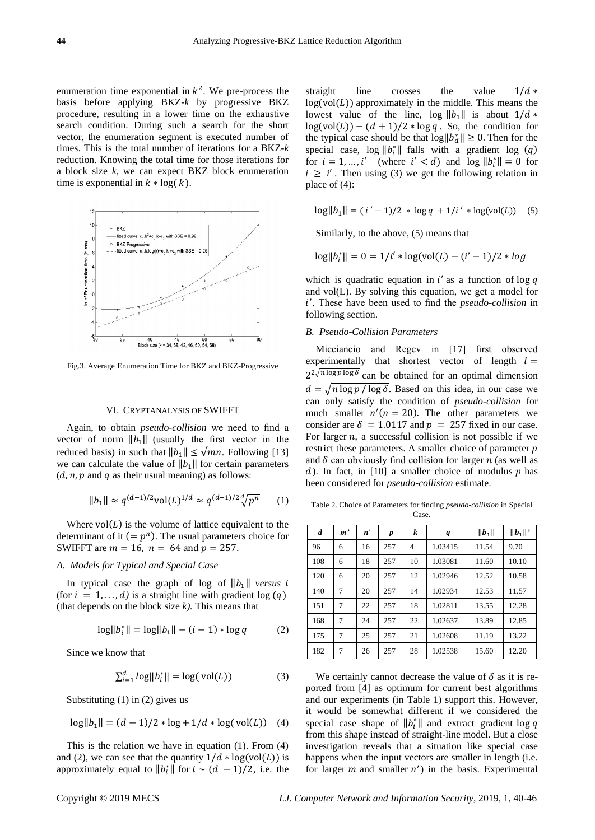enumeration time exponential in  $k^2$ . We pre-process the basis before applying BKZ-*k* by progressive BKZ procedure, resulting in a lower time on the exhaustive search condition. During such a search for the short vector, the enumeration segment is executed number of times. This is the total number of iterations for a BKZ-*k* reduction. Knowing the total time for those iterations for a block size *k*, we can expect BKZ block enumeration time is exponential in  $k * log(k)$ .



Fig.3. Average Enumeration Time for BKZ and BKZ-Progressive

#### VI. CRYPTANALYSIS OF SWIFFT

Again, to obtain *pseudo-collision* we need to find a vector of norm  $||b_1||$  (usually the first vector in the reduced basis) in such that  $||b_1|| \leq \sqrt{mn}$ . Following [13] we can calculate the value of  $||b_1||$  for certain parameters  $(d, n, p \text{ and } q \text{ as their usual meaning})$  as follows:

$$
||b_1|| \approx q^{(d-1)/2} \mathrm{vol}(L)^{1/d} \approx q^{(d-1)/2} \sqrt[d]{p^n} \qquad (1)
$$

Where  $vol(L)$  is the volume of lattice equivalent to the determinant of it  $(= p<sup>n</sup>)$ . The usual parameters choice for SWIFFT are  $m = 16$ ,  $n = 64$  and  $p = 257$ .

#### *A. Models for Typical and Special Case*

In typical case the graph of log of  $||b_1||$  *versus i* (for  $i = 1, \ldots, d$ ) is a straight line with gradient log (q) (that depends on the block size *k).* This means that

$$
\log||b_i^*|| = \log||b_1|| - (i - 1) * \log q \tag{2}
$$

Since we know that

$$
\sum_{i=1}^{d} \log \lVert b_i^* \rVert = \log(\text{vol}(L))\tag{3}
$$

Substituting (1) in (2) gives us

$$
\log||b_1|| = (d-1)/2 * \log + 1/d * \log(\text{vol}(L))
$$
 (4)

This is the relation we have in equation (1). From (4) and (2), we can see that the quantity  $1/d * log(vol(L))$  is approximately equal to  $||b_i^*||$  for  $i \sim (d - 1)/2$ , i.e. the straight line crosses the value  $1/d *$  $log(vol(L))$  approximately in the middle. This means the lowest value of the line, log  $||b_1||$  is about  $1/d$  \*  $log(vol(L)) - (d + 1)/2 * log q$ . So, the condition for the typical case should be that  $\log ||b_d^*|| \ge 0$ . Then for the special case,  $\log ||b_i^*||$  falls with a gradient log (q) for  $i = 1, ..., i'$  (where  $i' < d$ ) and  $\log ||b_i^*|| = 0$  for  $i \geq i'$ . Then using (3) we get the following relation in place of (4):

$$
\log ||b_1|| = (i'-1)/2 * \log q + 1/i' * \log(\text{vol}(L))
$$
 (5)

Similarly, to the above, (5) means that

$$
log||b_i^*|| = 0 = 1/i' * log(vol(L) - (i'-1)/2 * log
$$

which is quadratic equation in  $i'$  as a function of log  $q$ and vol(L). By solving this equation, we get a model for ′ . These have been used to find the *pseudo-collision* in following section.

#### *B. Pseudo-Collision Parameters*

Micciancio and Regev in [17] first observed experimentally that shortest vector of length  $l =$  $2^{2\sqrt{n \log p \log \delta}}$  can be obtained for an optimal dimension  $d = \sqrt{n \log p / \log \delta}$ . Based on this idea, in our case we can only satisfy the condition of *pseudo-collision* for much smaller  $n'(n = 20)$ . The other parameters we consider are  $\delta = 1.0117$  and  $p = 257$  fixed in our case. For larger  $n$ , a successful collision is not possible if we restrict these parameters. A smaller choice of parameter  $p$ and  $\delta$  can obviously find collision for larger  $n$  (as well as d). In fact, in [10] a smaller choice of modulus  $p$  has been considered for *pseudo-collision* estimate.

Table 2. Choice of Parameters for finding *pseudo-collision* in Special Case.

| d   | m' | n' | p   | k              | q       | $\ b_1\ $ | $  b_1  '$ |
|-----|----|----|-----|----------------|---------|-----------|------------|
| 96  | 6  | 16 | 257 | $\overline{4}$ | 1.03415 | 11.54     | 9.70       |
| 108 | 6  | 18 | 257 | 10             | 1.03081 | 11.60     | 10.10      |
| 120 | 6  | 20 | 257 | 12             | 1.02946 | 12.52     | 10.58      |
| 140 | 7  | 20 | 257 | 14             | 1.02934 | 12.53     | 11.57      |
| 151 | 7  | 22 | 257 | 18             | 1.02811 | 13.55     | 12.28      |
| 168 | 7  | 24 | 257 | 22             | 1.02637 | 13.89     | 12.85      |
| 175 | 7  | 25 | 257 | 21             | 1.02608 | 11.19     | 13.22      |
| 182 | 7  | 26 | 257 | 28             | 1.02538 | 15.60     | 12.20      |

We certainly cannot decrease the value of  $\delta$  as it is reported from [4] as optimum for current best algorithms and our experiments (in Table 1) support this. However, it would be somewhat different if we considered the special case shape of  $||b_i^*||$  and extract gradient log q from this shape instead of straight-line model. But a close investigation reveals that a situation like special case happens when the input vectors are smaller in length (i.e. for larger  $m$  and smaller  $n'$ ) in the basis. Experimental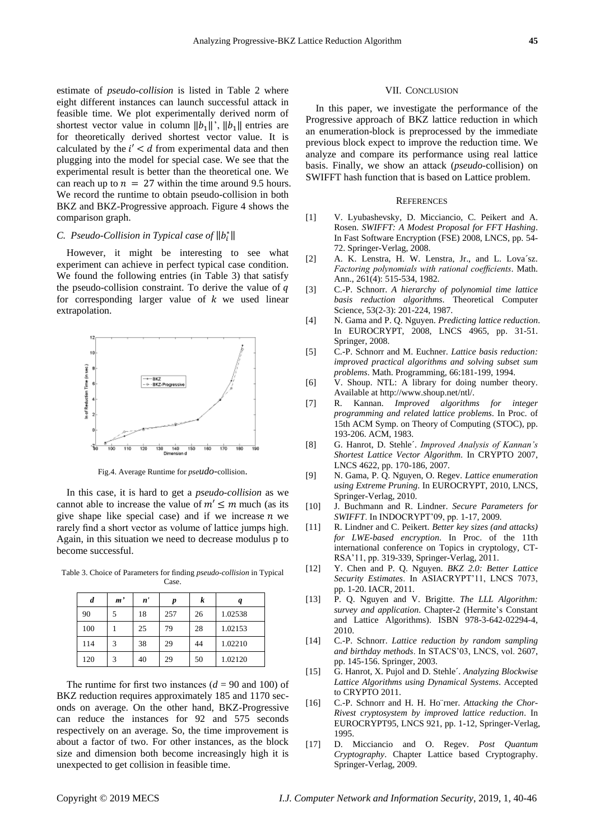estimate of *pseudo-collision* is listed in Table 2 where eight different instances can launch successful attack in feasible time. We plot experimentally derived norm of shortest vector value in column  $||b_1||'$ ,  $||b_1||$  entries are for theoretically derived shortest vector value. It is calculated by the  $i' < d$  from experimental data and then plugging into the model for special case. We see that the experimental result is better than the theoretical one. We can reach up to  $n = 27$  within the time around 9.5 hours. We record the runtime to obtain pseudo-collision in both BKZ and BKZ-Progressive approach. Figure 4 shows the comparison graph.

# *C. Pseudo-Collision in Typical case of*  $||b_i^*||$

However, it might be interesting to see what experiment can achieve in perfect typical case condition. We found the following entries (in Table 3) that satisfy the pseudo-collision constraint. To derive the value of  $q$ for corresponding larger value of  $k$  we used linear extrapolation.



Fig.4. Average Runtime for *pseudo-*collision.

In this case, it is hard to get a *pseudo-collision* as we cannot able to increase the value of  $m' \le m$  much (as its give shape like special case) and if we increase  $n$  we rarely find a short vector as volume of lattice jumps high. Again, in this situation we need to decrease modulus p to become successful.

Table 3. Choice of Parameters for finding *pseudo-collision* in Typical Case.

| d   | m' | n' | p   | k  |         |
|-----|----|----|-----|----|---------|
| 90  |    | 18 | 257 | 26 | 1.02538 |
| 100 |    | 25 | 79  | 28 | 1.02153 |
| 114 | 3  | 38 | 29  | 44 | 1.02210 |
| 120 | 3  | 40 | 29  | 50 | 1.02120 |

The runtime for first two instances  $(d = 90 \text{ and } 100)$  of BKZ reduction requires approximately 185 and 1170 seconds on average. On the other hand, BKZ-Progressive can reduce the instances for 92 and 575 seconds respectively on an average. So, the time improvement is about a factor of two. For other instances, as the block size and dimension both become increasingly high it is unexpected to get collision in feasible time.

#### VII. CONCLUSION

In this paper, we investigate the performance of the Progressive approach of BKZ lattice reduction in which an enumeration-block is preprocessed by the immediate previous block expect to improve the reduction time. We analyze and compare its performance using real lattice basis. Finally, we show an attack (*pseudo-*collision) on SWIFFT hash function that is based on Lattice problem.

#### **REFERENCES**

- [1] V. Lyubashevsky, D. Micciancio, C. Peikert and A. Rosen. *SWIFFT: A Modest Proposal for FFT Hashing*. In Fast Software Encryption (FSE) 2008, LNCS, pp. 54- 72. Springer-Verlag, 2008.
- [2] A. K. Lenstra, H. W. Lenstra, Jr., and L. Lova´sz. *Factoring polynomials with rational coefficients*. Math. Ann., 261(4): 515-534, 1982.
- [3] C.-P. Schnorr. *A hierarchy of polynomial time lattice basis reduction algorithms*. Theoretical Computer Science, 53(2-3): 201-224, 1987.
- [4] N. Gama and P. Q. Nguyen. *Predicting lattice reduction*. In EUROCRYPT, 2008, LNCS 4965, pp. 31-51. Springer, 2008.
- [5] C.-P. Schnorr and M. Euchner. *Lattice basis reduction: improved practical algorithms and solving subset sum problems*. Math. Programming, 66:181-199, 1994.
- [6] V. Shoup. NTL: A library for doing number theory. Available at http://www.shoup.net/ntl/.
- [7] R. Kannan. *Improved algorithms for integer programming and related lattice problems*. In Proc. of 15th ACM Symp. on Theory of Computing (STOC), pp. 193-206. ACM, 1983.
- [8] G. Hanrot, D. Stehle´. *Improved Analysis of Kannan's Shortest Lattice Vector Algorithm*. In CRYPTO 2007, LNCS 4622, pp. 170-186, 2007.
- [9] N. Gama, P. Q. Nguyen, O. Regev. *Lattice enumeration using Extreme Pruning*. In EUROCRYPT, 2010, LNCS, Springer-Verlag, 2010.
- [10] J. Buchmann and R. Lindner. *Secure Parameters for SWIFFT*. In INDOCRYPT'09, pp. 1-17, 2009.
- [11] R. Lindner and C. Peikert. *Better key sizes (and attacks) for LWE-based encryption*. In Proc. of the 11th international conference on Topics in cryptology, CT-RSA'11, pp. 319-339, Springer-Verlag, 2011.
- [12] Y. Chen and P. Q. Nguyen. *BKZ 2.0: Better Lattice Security Estimates*. In ASIACRYPT'11, LNCS 7073, pp. 1-20. IACR, 2011.
- [13] P. Q. Nguyen and V. Brigitte. *The LLL Algorithm: survey and application*. Chapter-2 (Hermite's Constant and Lattice Algorithms). ISBN 978-3-642-02294-4, 2010.
- [14] C.-P. Schnorr. *Lattice reduction by random sampling and birthday methods*. In STACS'03, LNCS, vol. 2607, pp. 145-156. Springer, 2003.
- [15] G. Hanrot, X. Pujol and D. Stehle´. *Analyzing Blockwise Lattice Algorithms using Dynamical Systems*. Accepted to CRYPTO 2011.
- [16] C.-P. Schnorr and H. H. Ho *rner*. *Attacking the Chor-Rivest cryptosystem by improved lattice reduction*. In EUROCRYPT95, LNCS 921, pp. 1-12, Springer-Verlag, 1995.
- [17] D. Micciancio and O. Regev. *Post Quantum Cryptography*. Chapter Lattice based Cryptography. Springer-Verlag, 2009.